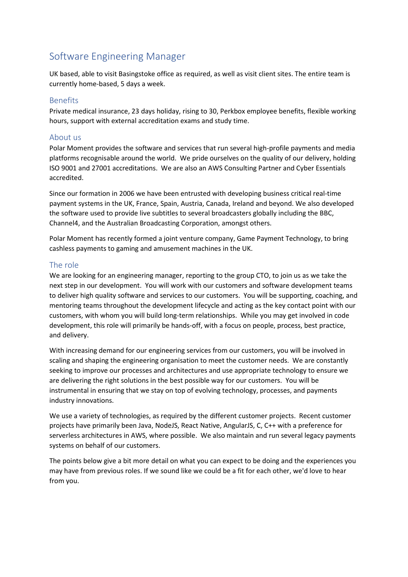# Software Engineering Manager

UK based, able to visit Basingstoke office as required, as well as visit client sites. The entire team is currently home-based, 5 days a week.

# Benefits

Private medical insurance, 23 days holiday, rising to 30, Perkbox employee benefits, flexible working hours, support with external accreditation exams and study time.

# About us

Polar Moment provides the software and services that run several high-profile payments and media platforms recognisable around the world. We pride ourselves on the quality of our delivery, holding ISO 9001 and 27001 accreditations. We are also an AWS Consulting Partner and Cyber Essentials accredited.

Since our formation in 2006 we have been entrusted with developing business critical real-time payment systems in the UK, France, Spain, Austria, Canada, Ireland and beyond. We also developed the software used to provide live subtitles to several broadcasters globally including the BBC, Channel4, and the Australian Broadcasting Corporation, amongst others.

Polar Moment has recently formed a joint venture company, Game Payment Technology, to bring cashless payments to gaming and amusement machines in the UK.

#### The role

We are looking for an engineering manager, reporting to the group CTO, to join us as we take the next step in our development. You will work with our customers and software development teams to deliver high quality software and services to our customers. You will be supporting, coaching, and mentoring teams throughout the development lifecycle and acting as the key contact point with our customers, with whom you will build long-term relationships. While you may get involved in code development, this role will primarily be hands-off, with a focus on people, process, best practice, and delivery.

With increasing demand for our engineering services from our customers, you will be involved in scaling and shaping the engineering organisation to meet the customer needs. We are constantly seeking to improve our processes and architectures and use appropriate technology to ensure we are delivering the right solutions in the best possible way for our customers. You will be instrumental in ensuring that we stay on top of evolving technology, processes, and payments industry innovations.

We use a variety of technologies, as required by the different customer projects. Recent customer projects have primarily been Java, NodeJS, React Native, AngularJS, C, C++ with a preference for serverless architectures in AWS, where possible. We also maintain and run several legacy payments systems on behalf of our customers.

The points below give a bit more detail on what you can expect to be doing and the experiences you may have from previous roles. If we sound like we could be a fit for each other, we'd love to hear from you.